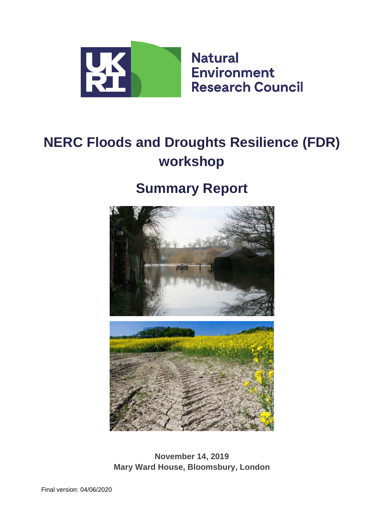

# **NERC Floods and Droughts Resilience (FDR) workshop**

# **Summary Report**



**November 14, 2019 Mary Ward House, Bloomsbury, London**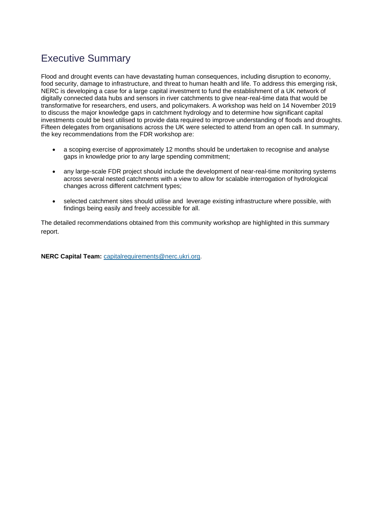# Executive Summary

Flood and drought events can have devastating human consequences, including disruption to economy, food security, damage to infrastructure, and threat to human health and life. To address this emerging risk, NERC is developing a case for a large capital investment to fund the establishment of a UK network of digitally connected data hubs and sensors in river catchments to give near-real-time data that would be transformative for researchers, end users, and policymakers. A workshop was held on 14 November 2019 to discuss the major knowledge gaps in catchment hydrology and to determine how significant capital investments could be best utilised to provide data required to improve understanding of floods and droughts. Fifteen delegates from organisations across the UK were selected to attend from an open call. In summary, the key recommendations from the FDR workshop are:

- a scoping exercise of approximately 12 months should be undertaken to recognise and analyse gaps in knowledge prior to any large spending commitment;
- any large-scale FDR project should include the development of near-real-time monitoring systems across several nested catchments with a view to allow for scalable interrogation of hydrological changes across different catchment types;
- selected catchment sites should utilise and leverage existing infrastructure where possible, with findings being easily and freely accessible for all.

The detailed recommendations obtained from this community workshop are highlighted in this summary report.

**NERC Capital Team:** [capitalrequirements@nerc.ukri.org.](mailto:capitalrequirements@nerc.ukri.org)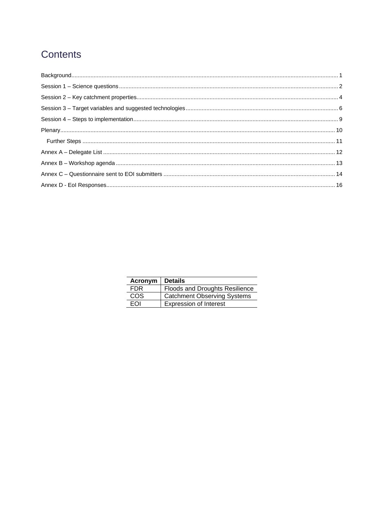# Contents

| Acronym    | ∣ Details                             |
|------------|---------------------------------------|
| FDR.       | <b>Floods and Droughts Resilience</b> |
| COS        | <b>Catchment Observing Systems</b>    |
| <b>FOI</b> | <b>Expression of Interest</b>         |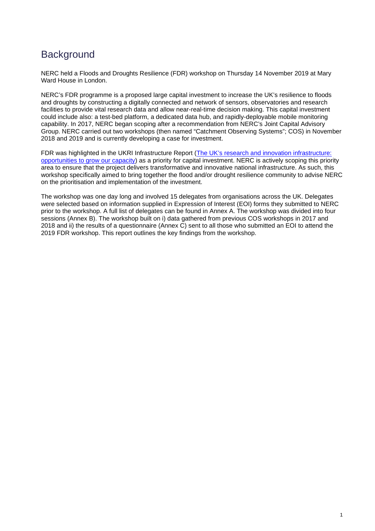# <span id="page-3-0"></span>**Background**

NERC held a Floods and Droughts Resilience (FDR) workshop on Thursday 14 November 2019 at Mary Ward House in London.

NERC's FDR programme is a proposed large capital investment to increase the UK's resilience to floods and droughts by constructing a digitally connected and network of sensors, observatories and research facilities to provide vital research data and allow near-real-time decision making. This capital investment could include also: a test-bed platform, a dedicated data hub, and rapidly-deployable mobile monitoring capability. In 2017, NERC began scoping after a recommendation from NERC's Joint Capital Advisory Group. NERC carried out two workshops (then named "Catchment Observing Systems"; COS) in November 2018 and 2019 and is currently developing a case for investment.

FDR was highlighted in the UKRI Infrastructure Report (The UK's research and innovation infrastructure: [opportunities to grow our capacity\)](https://www.ukri.org/files/infrastructure/the-uks-research-and-innovation-infrastructure-opportunities-to-grow-our-capacity-final-low-res/) as a priority for capital investment. NERC is actively scoping this priority area to ensure that the project delivers transformative and innovative national infrastructure. As such, this workshop specifically aimed to bring together the flood and/or drought resilience community to advise NERC on the prioritisation and implementation of the investment.

The workshop was one day long and involved 15 delegates from organisations across the UK. Delegates were selected based on information supplied in Expression of Interest (EOI) forms they submitted to NERC prior to the workshop. A full list of delegates can be found in Annex A. The workshop was divided into four sessions (Annex B). The workshop built on i) data gathered from previous COS workshops in 2017 and 2018 and ii) the results of a questionnaire (Annex C) sent to all those who submitted an EOI to attend the 2019 FDR workshop. This report outlines the key findings from the workshop.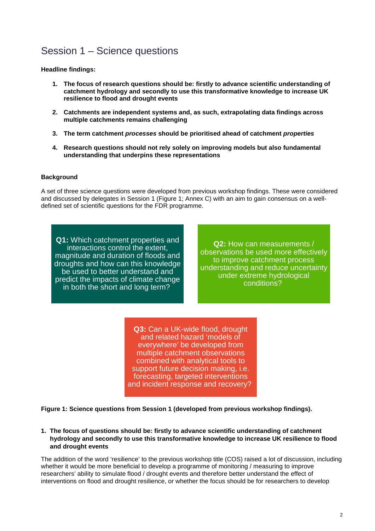# <span id="page-4-0"></span>Session 1 – Science questions

**Headline findings:**

- **1. The focus of research questions should be: firstly to advance scientific understanding of catchment hydrology and secondly to use this transformative knowledge to increase UK resilience to flood and drought events**
- **2. Catchments are independent systems and, as such, extrapolating data findings across multiple catchments remains challenging**
- **3. The term catchment** *processes* **should be prioritised ahead of catchment** *properties*
- **4. Research questions should not rely solely on improving models but also fundamental understanding that underpins these representations**

#### **Background**

A set of three science questions were developed from previous workshop findings. These were considered and discussed by delegates in Session 1 (Figure 1; Annex C) with an aim to gain consensus on a welldefined set of scientific questions for the FDR programme.

**Q1:** Which catchment properties and interactions control the extent, magnitude and duration of floods and droughts and how can this knowledge be used to better understand and predict the impacts of climate change in both the short and long term?

**Q2:** How can measurements / observations be used more effectively to improve catchment process understanding and reduce uncertainty under extreme hydrological conditions?

**Q3:** Can a UK-wide flood, drought and related hazard 'models of everywhere' be developed from multiple catchment observations combined with analytical tools to support future decision making, i.e. forecasting, targeted interventions and incident response and recovery?

**Figure 1: Science questions from Session 1 (developed from previous workshop findings).**

**1. The focus of questions should be: firstly to advance scientific understanding of catchment hydrology and secondly to use this transformative knowledge to increase UK resilience to flood and drought events**

The addition of the word 'resilience' to the previous workshop title (COS) raised a lot of discussion, including whether it would be more beneficial to develop a programme of monitoring / measuring to improve researchers' ability to simulate flood / drought events and therefore better understand the effect of interventions on flood and drought resilience, or whether the focus should be for researchers to develop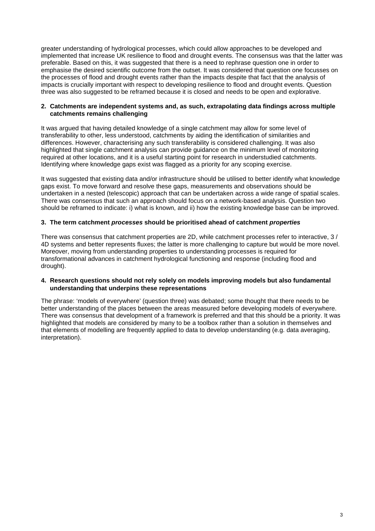greater understanding of hydrological processes, which could allow approaches to be developed and implemented that increase UK resilience to flood and drought events. The consensus was that the latter was preferable. Based on this, it was suggested that there is a need to rephrase question one in order to emphasise the desired scientific outcome from the outset. It was considered that question one focusses on the processes of flood and drought events rather than the impacts despite that fact that the analysis of impacts is crucially important with respect to developing resilience to flood and drought events. Question three was also suggested to be reframed because it is closed and needs to be open and explorative.

#### **2. Catchments are independent systems and, as such, extrapolating data findings across multiple catchments remains challenging**

It was argued that having detailed knowledge of a single catchment may allow for some level of transferability to other, less understood, catchments by aiding the identification of similarities and differences. However, characterising any such transferability is considered challenging. It was also highlighted that single catchment analysis can provide guidance on the minimum level of monitoring required at other locations, and it is a useful starting point for research in understudied catchments. Identifying where knowledge gaps exist was flagged as a priority for any scoping exercise.

It was suggested that existing data and/or infrastructure should be utilised to better identify what knowledge gaps exist. To move forward and resolve these gaps, measurements and observations should be undertaken in a nested (telescopic) approach that can be undertaken across a wide range of spatial scales. There was consensus that such an approach should focus on a network-based analysis. Question two should be reframed to indicate: i) what is known, and ii) how the existing knowledge base can be improved.

### **3. The term catchment** *processes* **should be prioritised ahead of catchment** *properties*

There was consensus that catchment properties are 2D, while catchment processes refer to interactive, 3 / 4D systems and better represents fluxes; the latter is more challenging to capture but would be more novel. Moreover, moving from understanding properties to understanding processes is required for transformational advances in catchment hydrological functioning and response (including flood and drought).

#### **4. Research questions should not rely solely on models improving models but also fundamental understanding that underpins these representations**

The phrase: 'models of everywhere' (question three) was debated; some thought that there needs to be better understanding of the places between the areas measured before developing models of everywhere. There was consensus that development of a framework is preferred and that this should be a priority. It was highlighted that models are considered by many to be a toolbox rather than a solution in themselves and that elements of modelling are frequently applied to data to develop understanding (e.g. data averaging, interpretation).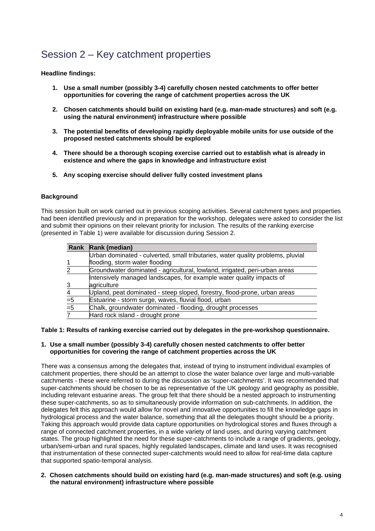# <span id="page-6-0"></span>Session 2 – Key catchment properties

### **Headline findings:**

- **1. Use a small number (possibly 3-4) carefully chosen nested catchments to offer better opportunities for covering the range of catchment properties across the UK**
- **2. Chosen catchments should build on existing hard (e.g. man-made structures) and soft (e.g. using the natural environment) infrastructure where possible**
- **3. The potential benefits of developing rapidly deployable mobile units for use outside of the proposed nested catchments should be explored**
- **4. There should be a thorough scoping exercise carried out to establish what is already in existence and where the gaps in knowledge and infrastructure exist**
- **5. Any scoping exercise should deliver fully costed investment plans**

## **Background**

This session built on work carried out in previous scoping activities. Several catchment types and properties had been identified previously and in preparation for the workshop, delegates were asked to consider the list and submit their opinions on their relevant priority for inclusion. The results of the ranking exercise (presented in Table 1) were available for discussion during Session 2.

|                | Rank Rank (median)                                                              |
|----------------|---------------------------------------------------------------------------------|
|                | Urban dominated - culverted, small tributaries, water quality problems, pluvial |
|                | flooding, storm water flooding                                                  |
| 2              | Groundwater dominated - agricultural, lowland, irrigated, peri-urban areas      |
|                | Intensively managed landscapes, for example water quality impacts of            |
|                | agriculture                                                                     |
| $\overline{4}$ | Upland, peat dominated - steep sloped, forestry, flood-prone, urban areas       |
| $= 5$          | Estuarine - storm surge, waves, fluvial flood, urban                            |
| $\overline{5}$ | Chalk, groundwater dominated - flooding, drought processes                      |
|                | Hard rock island - drought prone                                                |

**Table 1: Results of ranking exercise carried out by delegates in the pre-workshop questionnaire.**

### **1. Use a small number (possibly 3-4) carefully chosen nested catchments to offer better opportunities for covering the range of catchment properties across the UK**

There was a consensus among the delegates that, instead of trying to instrument individual examples of catchment properties, there should be an attempt to close the water balance over large and multi-variable catchments - these were referred to during the discussion as 'super-catchments'. It was recommended that super-catchments should be chosen to be as representative of the UK geology and geography as possible, including relevant estuarine areas. The group felt that there should be a nested approach to instrumenting these super-catchments, so as to simultaneously provide information on sub-catchments. In addition, the delegates felt this approach would allow for novel and innovative opportunities to fill the knowledge gaps in hydrological process and the water balance, something that all the delegates thought should be a priority. Taking this approach would provide data capture opportunities on hydrological stores and fluxes through a range of connected catchment properties, in a wide variety of land uses, and during varying catchment states. The group highlighted the need for these super-catchments to include a range of gradients, geology, urban/semi-urban and rural spaces, highly regulated landscapes, climate and land uses. It was recognised that instrumentation of these connected super-catchments would need to allow for real-time data capture that supported spatio-temporal analysis.

### **2. Chosen catchments should build on existing hard (e.g. man-made structures) and soft (e.g. using the natural environment) infrastructure where possible**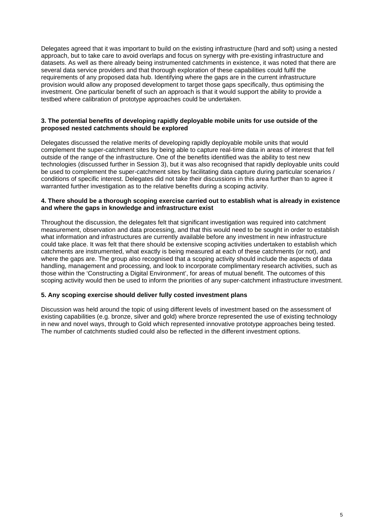Delegates agreed that it was important to build on the existing infrastructure (hard and soft) using a nested approach, but to take care to avoid overlaps and focus on synergy with pre-existing infrastructure and datasets. As well as there already being instrumented catchments in existence, it was noted that there are several data service providers and that thorough exploration of these capabilities could fulfil the requirements of any proposed data hub. Identifying where the gaps are in the current infrastructure provision would allow any proposed development to target those gaps specifically, thus optimising the investment. One particular benefit of such an approach is that it would support the ability to provide a testbed where calibration of prototype approaches could be undertaken.

#### **3. The potential benefits of developing rapidly deployable mobile units for use outside of the proposed nested catchments should be explored**

Delegates discussed the relative merits of developing rapidly deployable mobile units that would complement the super-catchment sites by being able to capture real-time data in areas of interest that fell outside of the range of the infrastructure. One of the benefits identified was the ability to test new technologies (discussed further in Session 3), but it was also recognised that rapidly deployable units could be used to complement the super-catchment sites by facilitating data capture during particular scenarios / conditions of specific interest. Delegates did not take their discussions in this area further than to agree it warranted further investigation as to the relative benefits during a scoping activity.

#### **4. There should be a thorough scoping exercise carried out to establish what is already in existence and where the gaps in knowledge and infrastructure exist**

Throughout the discussion, the delegates felt that significant investigation was required into catchment measurement, observation and data processing, and that this would need to be sought in order to establish what information and infrastructures are currently available before any investment in new infrastructure could take place. It was felt that there should be extensive scoping activities undertaken to establish which catchments are instrumented, what exactly is being measured at each of these catchments (or not), and where the gaps are. The group also recognised that a scoping activity should include the aspects of data handling, management and processing, and look to incorporate complimentary research activities, such as those within the 'Constructing a Digital Environment', for areas of mutual benefit. The outcomes of this scoping activity would then be used to inform the priorities of any super-catchment infrastructure investment.

### **5. Any scoping exercise should deliver fully costed investment plans**

Discussion was held around the topic of using different levels of investment based on the assessment of existing capabilities (e.g. bronze, silver and gold) where bronze represented the use of existing technology in new and novel ways, through to Gold which represented innovative prototype approaches being tested. The number of catchments studied could also be reflected in the different investment options.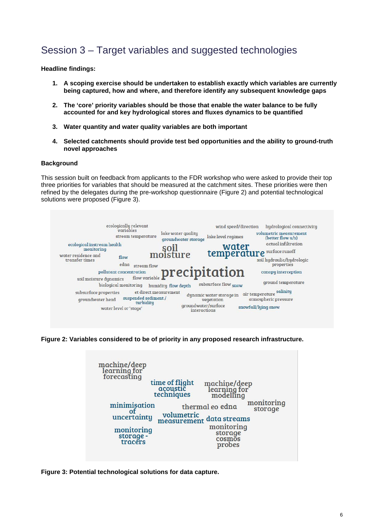# <span id="page-8-0"></span>Session 3 – Target variables and suggested technologies

**Headline findings:**

- **1. A scoping exercise should be undertaken to establish exactly which variables are currently being captured, how and where, and therefore identify any subsequent knowledge gaps**
- **2. The 'core' priority variables should be those that enable the water balance to be fully accounted for and key hydrological stores and fluxes dynamics to be quantified**
- **3. Water quantity and water quality variables are both important**
- **4. Selected catchments should provide test bed opportunities and the ability to ground-truth novel approaches**

#### **Background**

This session built on feedback from applicants to the FDR workshop who were asked to provide their top three priorities for variables that should be measured at the catchment sites. These priorities were then refined by the delegates during the pre-workshop questionnaire (Figure 2) and potential technological solutions were proposed (Figure 3).



**Figure 2: Variables considered to be of priority in any proposed research infrastructure.**



**Figure 3: Potential technological solutions for data capture.**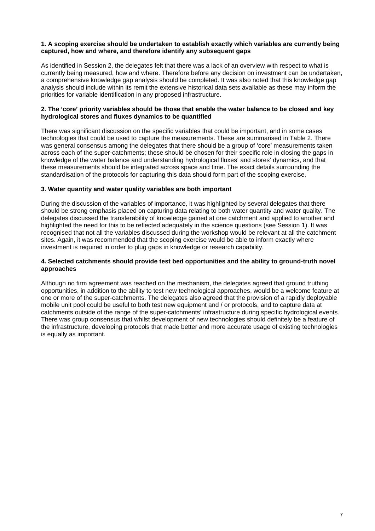#### **1. A scoping exercise should be undertaken to establish exactly which variables are currently being captured, how and where, and therefore identify any subsequent gaps**

As identified in Session 2, the delegates felt that there was a lack of an overview with respect to what is currently being measured, how and where. Therefore before any decision on investment can be undertaken, a comprehensive knowledge gap analysis should be completed. It was also noted that this knowledge gap analysis should include within its remit the extensive historical data sets available as these may inform the priorities for variable identification in any proposed infrastructure.

#### **2. The 'core' priority variables should be those that enable the water balance to be closed and key hydrological stores and fluxes dynamics to be quantified**

There was significant discussion on the specific variables that could be important, and in some cases technologies that could be used to capture the measurements. These are summarised in Table 2. There was general consensus among the delegates that there should be a group of 'core' measurements taken across each of the super-catchments; these should be chosen for their specific role in closing the gaps in knowledge of the water balance and understanding hydrological fluxes' and stores' dynamics, and that these measurements should be integrated across space and time. The exact details surrounding the standardisation of the protocols for capturing this data should form part of the scoping exercise.

### **3. Water quantity and water quality variables are both important**

During the discussion of the variables of importance, it was highlighted by several delegates that there should be strong emphasis placed on capturing data relating to both water quantity and water quality. The delegates discussed the transferability of knowledge gained at one catchment and applied to another and highlighted the need for this to be reflected adequately in the science questions (see Session 1). It was recognised that not all the variables discussed during the workshop would be relevant at all the catchment sites. Again, it was recommended that the scoping exercise would be able to inform exactly where investment is required in order to plug gaps in knowledge or research capability.

#### **4. Selected catchments should provide test bed opportunities and the ability to ground-truth novel approaches**

Although no firm agreement was reached on the mechanism, the delegates agreed that ground truthing opportunities, in addition to the ability to test new technological approaches, would be a welcome feature at one or more of the super-catchments. The delegates also agreed that the provision of a rapidly deployable mobile unit pool could be useful to both test new equipment and / or protocols, and to capture data at catchments outside of the range of the super-catchments' infrastructure during specific hydrological events. There was group consensus that whilst development of new technologies should definitely be a feature of the infrastructure, developing protocols that made better and more accurate usage of existing technologies is equally as important.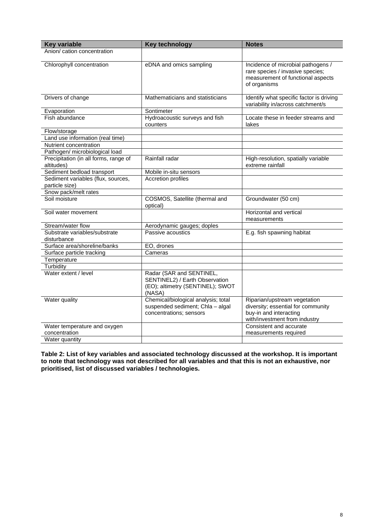| <b>Key variable</b>                                  | Key technology                                                                                           | <b>Notes</b>                                                                                                                  |
|------------------------------------------------------|----------------------------------------------------------------------------------------------------------|-------------------------------------------------------------------------------------------------------------------------------|
| Anion/ cation concentration                          |                                                                                                          |                                                                                                                               |
| Chlorophyll concentration                            | eDNA and omics sampling                                                                                  | Incidence of microbial pathogens /<br>rare species / invasive species;<br>measurement of functional aspects<br>of organisms   |
| Drivers of change                                    | Mathematicians and statisticians                                                                         | Identify what specific factor is driving<br>variability in/across catchment/s                                                 |
| Evaporation                                          | Sontimeter                                                                                               |                                                                                                                               |
| Fish abundance                                       | Hydroacoustic surveys and fish<br>counters                                                               | Locate these in feeder streams and<br>lakes                                                                                   |
| Flow/storage                                         |                                                                                                          |                                                                                                                               |
| Land use information (real time)                     |                                                                                                          |                                                                                                                               |
| Nutrient concentration                               |                                                                                                          |                                                                                                                               |
| Pathogen/ microbiological load                       |                                                                                                          |                                                                                                                               |
| Precipitation (in all forms, range of<br>altitudes)  | Rainfall radar                                                                                           | High-resolution, spatially variable<br>extreme rainfall                                                                       |
| Sediment bedload transport                           | Mobile in-situ sensors                                                                                   |                                                                                                                               |
| Sediment variables (flux, sources,<br>particle size) | <b>Accretion profiles</b>                                                                                |                                                                                                                               |
| Snow pack/melt rates                                 |                                                                                                          |                                                                                                                               |
| Soil moisture                                        | COSMOS, Satellite (thermal and<br>optical)                                                               | Groundwater (50 cm)                                                                                                           |
| Soil water movement                                  |                                                                                                          | Horizontal and vertical<br>measurements                                                                                       |
| Stream/water flow                                    | Aerodynamic gauges; doples                                                                               |                                                                                                                               |
| Substrate variables/substrate<br>disturbance         | Passive acoustics                                                                                        | E.g. fish spawning habitat                                                                                                    |
| Surface area/shoreline/banks                         | EO, drones                                                                                               |                                                                                                                               |
| Surface particle tracking                            | Cameras                                                                                                  |                                                                                                                               |
| Temperature                                          |                                                                                                          |                                                                                                                               |
| Turbidity                                            |                                                                                                          |                                                                                                                               |
| Water extent / level                                 | Radar (SAR and SENTINEL,<br>SENTINEL2) / Earth Observation<br>(EO); altimetry (SENTINEL); SWOT<br>(NASA) |                                                                                                                               |
| Water quality                                        | Chemical/biological analysis; total<br>suspended sediment; Chla - algal<br>concentrations; sensors       | Riparian/upstream vegetation<br>diversity; essential for community<br>buy-in and interacting<br>with/investment from industry |
| Water temperature and oxygen<br>concentration        |                                                                                                          | Consistent and accurate<br>measurements required                                                                              |
| Water quantity                                       |                                                                                                          |                                                                                                                               |

**Table 2: List of key variables and associated technology discussed at the workshop. It is important to note that technology was not described for all variables and that this is not an exhaustive, nor prioritised, list of discussed variables / technologies.**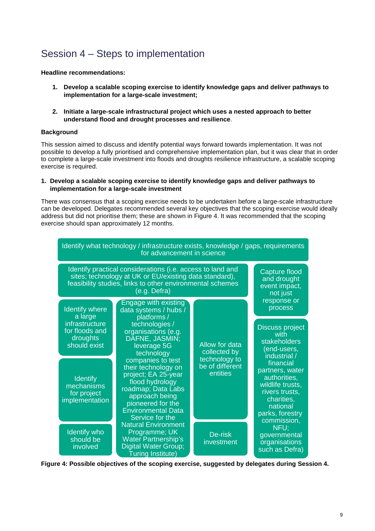# <span id="page-11-0"></span>Session 4 – Steps to implementation

**Headline recommendations:**

- **1. Develop a scalable scoping exercise to identify knowledge gaps and deliver pathways to implementation for a large-scale investment;**
- **2. Initiate a large-scale infrastructural project which uses a nested approach to better understand flood and drought processes and resilience**.

#### **Background**

This session aimed to discuss and identify potential ways forward towards implementation. It was not possible to develop a fully prioritised and comprehensive implementation plan, but it was clear that in order to complete a large-scale investment into floods and droughts resilience infrastructure, a scalable scoping exercise is required.

#### **1. Develop a scalable scoping exercise to identify knowledge gaps and deliver pathways to implementation for a large-scale investment**

There was consensus that a scoping exercise needs to be undertaken before a large-scale infrastructure can be developed. Delegates recommended several key objectives that the scoping exercise would ideally address but did not prioritise them; these are shown in Figure 4. It was recommended that the scoping exercise should span approximately 12 months.



**Figure 4: Possible objectives of the scoping exercise, suggested by delegates during Session 4.**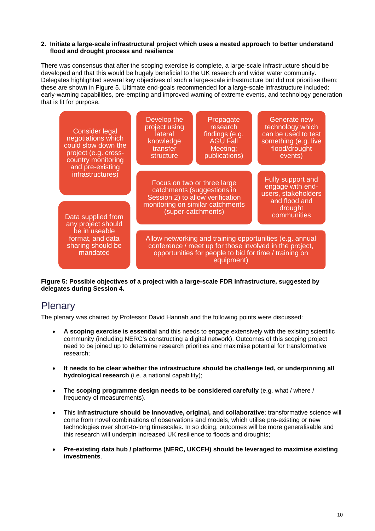#### **2. Initiate a large-scale infrastructural project which uses a nested approach to better understand flood and drought process and resilience**

There was consensus that after the scoping exercise is complete, a large-scale infrastructure should be developed and that this would be hugely beneficial to the UK research and wider water community. Delegates highlighted several key objectives of such a large-scale infrastructure but did not prioritise them; these are shown in Figure 5. Ultimate end-goals recommended for a large-scale infrastructure included: early-warning capabilities, pre-empting and improved warning of extreme events, and technology generation that is fit for purpose.



**Figure 5: Possible objectives of a project with a large-scale FDR infrastructure, suggested by delegates during Session 4.**

# <span id="page-12-0"></span>**Plenary**

The plenary was chaired by Professor David Hannah and the following points were discussed:

- **A scoping exercise is essential** and this needs to engage extensively with the existing scientific community (including NERC's constructing a digital network). Outcomes of this scoping project need to be joined up to determine research priorities and maximise potential for transformative research;
- **It needs to be clear whether the infrastructure should be challenge led, or underpinning all hydrological research** (i.e. a national capability);
- The **scoping programme design needs to be considered carefully** (e.g. what / where / frequency of measurements).
- This **infrastructure should be innovative, original, and collaborative**; transformative science will come from novel combinations of observations and models, which utilise pre-existing or new technologies over short-to-long timescales. In so doing, outcomes will be more generalisable and this research will underpin increased UK resilience to floods and droughts;
- **Pre-existing data hub / platforms (NERC, UKCEH) should be leveraged to maximise existing investments**.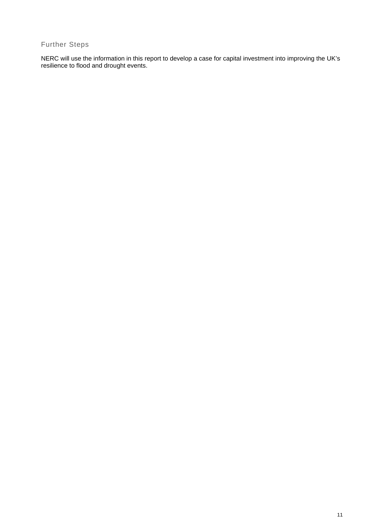# <span id="page-13-0"></span>Further Steps

NERC will use the information in this report to develop a case for capital investment into improving the UK's resilience to flood and drought events.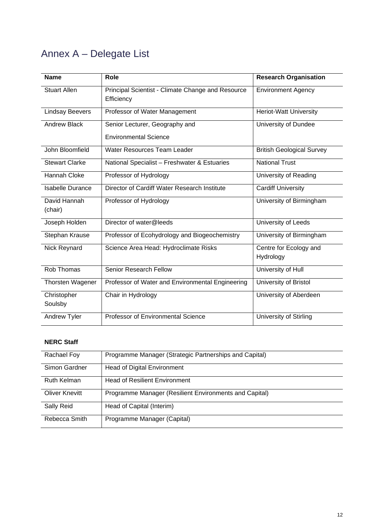# <span id="page-14-0"></span>Annex A – Delegate List

| <b>Name</b>             | Role                                                            | <b>Research Organisation</b>        |
|-------------------------|-----------------------------------------------------------------|-------------------------------------|
| <b>Stuart Allen</b>     | Principal Scientist - Climate Change and Resource<br>Efficiency | <b>Environment Agency</b>           |
| <b>Lindsay Beevers</b>  | Professor of Water Management                                   | <b>Heriot-Watt University</b>       |
| <b>Andrew Black</b>     | Senior Lecturer, Geography and<br><b>Environmental Science</b>  | University of Dundee                |
| John Bloomfield         | <b>Water Resources Team Leader</b>                              | <b>British Geological Survey</b>    |
| <b>Stewart Clarke</b>   | National Specialist - Freshwater & Estuaries                    | <b>National Trust</b>               |
| <b>Hannah Cloke</b>     | Professor of Hydrology                                          | University of Reading               |
| <b>Isabelle Durance</b> | Director of Cardiff Water Research Institute                    | <b>Cardiff University</b>           |
| David Hannah<br>(chair) | Professor of Hydrology                                          | University of Birmingham            |
| Joseph Holden           | Director of water@leeds                                         | University of Leeds                 |
| Stephan Krause          | Professor of Ecohydrology and Biogeochemistry                   | University of Birmingham            |
| Nick Reynard            | Science Area Head: Hydroclimate Risks                           | Centre for Ecology and<br>Hydrology |
| Rob Thomas              | <b>Senior Research Fellow</b>                                   | University of Hull                  |
| Thorsten Wagener        | Professor of Water and Environmental Engineering                | University of Bristol               |
| Christopher<br>Soulsby  | Chair in Hydrology                                              | University of Aberdeen              |
| <b>Andrew Tyler</b>     | Professor of Environmental Science                              | University of Stirling              |

## **NERC Staff**

| Rachael Foy    | Programme Manager (Strategic Partnerships and Capital) |
|----------------|--------------------------------------------------------|
| Simon Gardner  | Head of Digital Environment                            |
| Ruth Kelman    | <b>Head of Resilient Environment</b>                   |
| Oliver Knevitt | Programme Manager (Resilient Environments and Capital) |
| Sally Reid     | Head of Capital (Interim)                              |
| Rebecca Smith  | Programme Manager (Capital)                            |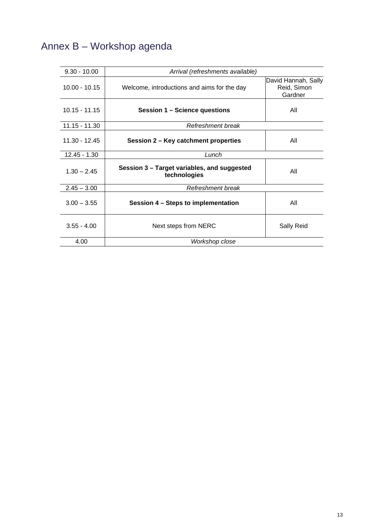# <span id="page-15-0"></span>Annex B – Workshop agenda

| $9.30 - 10.00$  | Arrival (refreshments available)                            |                                               |
|-----------------|-------------------------------------------------------------|-----------------------------------------------|
| $10.00 - 10.15$ | Welcome, introductions and aims for the day                 | David Hannah, Sally<br>Reid, Simon<br>Gardner |
| $10.15 - 11.15$ | Session 1 - Science questions                               | All                                           |
| 11.15 - 11.30   | Refreshment break                                           |                                               |
| $11.30 - 12.45$ | Session 2 - Key catchment properties                        | All                                           |
| $12.45 - 1.30$  | Lunch                                                       |                                               |
| $1.30 - 2.45$   | Session 3 - Target variables, and suggested<br>technologies | All                                           |
| $2.45 - 3.00$   | Refreshment break                                           |                                               |
| $3.00 - 3.55$   | Session 4 - Steps to implementation                         | All                                           |
| $3.55 - 4.00$   | Next steps from NERC                                        | Sally Reid                                    |
| 4.00            | Workshop close                                              |                                               |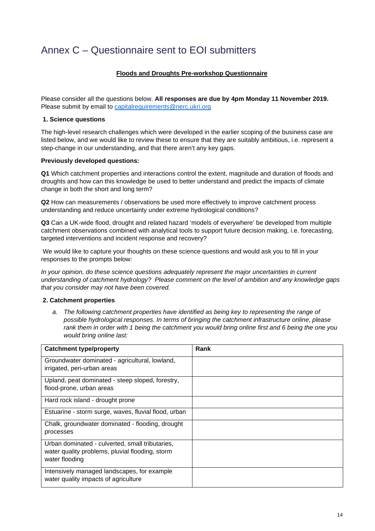# <span id="page-16-0"></span>Annex C – Questionnaire sent to EOI submitters

## **Floods and Droughts Pre-workshop Questionnaire**

Please consider all the questions below. **All responses are due by 4pm Monday 11 November 2019.**  Please submit by email to [capitalrequirements@nerc.ukri.org](mailto:capitalrequirements@nerc.ukri.org)

#### **1. Science questions**

The high-level research challenges which were developed in the earlier scoping of the business case are listed below, and we would like to review these to ensure that they are suitably ambitious, i.e. represent a step-change in our understanding, and that there aren't any key gaps.

#### **Previously developed questions:**

**Q1** Which catchment properties and interactions control the extent, magnitude and duration of floods and droughts and how can this knowledge be used to better understand and predict the impacts of climate change in both the short and long term?

**Q2** How can measurements / observations be used more effectively to improve catchment process understanding and reduce uncertainty under extreme hydrological conditions?

**Q3** Can a UK-wide flood, drought and related hazard 'models of everywhere' be developed from multiple catchment observations combined with analytical tools to support future decision making, i.e. forecasting, targeted interventions and incident response and recovery?

We would like to capture your thoughts on these science questions and would ask you to fill in your responses to the prompts below:

*In your opinion, do these science questions adequately represent the major uncertainties in current understanding of catchment hydrology? Please comment on the level of ambition and any knowledge gaps that you consider may not have been covered.*

### **2. Catchment properties**

*a. The following catchment properties have identified as being key to representing the range of possible hydrological responses. In terms of bringing the catchment infrastructure online, please rank them in order with 1 being the catchment you would bring online first and 6 being the one you would bring online last:*

| <b>Catchment type/property</b>                                                                                       | Rank |
|----------------------------------------------------------------------------------------------------------------------|------|
| Groundwater dominated - agricultural, lowland,<br>irrigated, peri-urban areas                                        |      |
| Upland, peat dominated - steep sloped, forestry,<br>flood-prone, urban areas                                         |      |
| Hard rock island - drought prone                                                                                     |      |
| Estuarine - storm surge, waves, fluvial flood, urban                                                                 |      |
| Chalk, groundwater dominated - flooding, drought<br>processes                                                        |      |
| Urban dominated - culverted, small tributaries,<br>water quality problems, pluvial flooding, storm<br>water flooding |      |
| Intensively managed landscapes, for example<br>water quality impacts of agriculture                                  |      |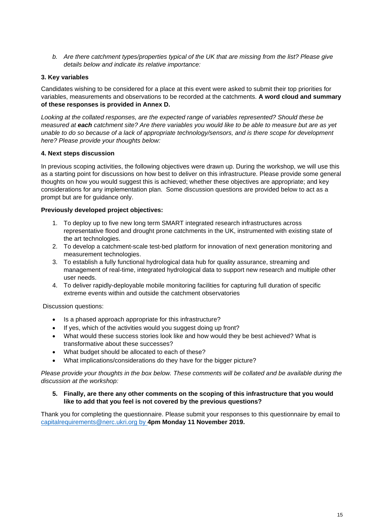*b. Are there catchment types/properties typical of the UK that are missing from the list? Please give details below and indicate its relative importance:*

### **3. Key variables**

Candidates wishing to be considered for a place at this event were asked to submit their top priorities for variables, measurements and observations to be recorded at the catchments. **A word cloud and summary of these responses is provided in Annex D.**

*Looking at the collated responses, are the expected range of variables represented? Should these be measured at each catchment site? Are there variables you would like to be able to measure but are as yet unable to do so because of a lack of appropriate technology/sensors, and is there scope for development here? Please provide your thoughts below:*

## **4. Next steps discussion**

In previous scoping activities, the following objectives were drawn up. During the workshop, we will use this as a starting point for discussions on how best to deliver on this infrastructure. Please provide some general thoughts on how you would suggest this is achieved; whether these objectives are appropriate; and key considerations for any implementation plan. Some discussion questions are provided below to act as a prompt but are for guidance only.

### **Previously developed project objectives:**

- 1. To deploy up to five new long term SMART integrated research infrastructures across representative flood and drought prone catchments in the UK, instrumented with existing state of the art technologies.
- 2. To develop a catchment-scale test-bed platform for innovation of next generation monitoring and measurement technologies.
- 3. To establish a fully functional hydrological data hub for quality assurance, streaming and management of real-time, integrated hydrological data to support new research and multiple other user needs.
- 4. To deliver rapidly-deployable mobile monitoring facilities for capturing full duration of specific extreme events within and outside the catchment observatories

Discussion questions:

- Is a phased approach appropriate for this infrastructure?
- If yes, which of the activities would you suggest doing up front?
- What would these success stories look like and how would they be best achieved? What is transformative about these successes?
- What budget should be allocated to each of these?
- What implications/considerations do they have for the bigger picture?

*Please provide your thoughts in the box below. These comments will be collated and be available during the discussion at the workshop:*

### **5. Finally, are there any other comments on the scoping of this infrastructure that you would like to add that you feel is not covered by the previous questions?**

Thank you for completing the questionnaire. Please submit your responses to this questionnaire by email to [capitalrequirements@nerc.ukri.org](mailto:capitalrequirements@nerc.ukri.org) by **4pm Monday 11 November 2019.**